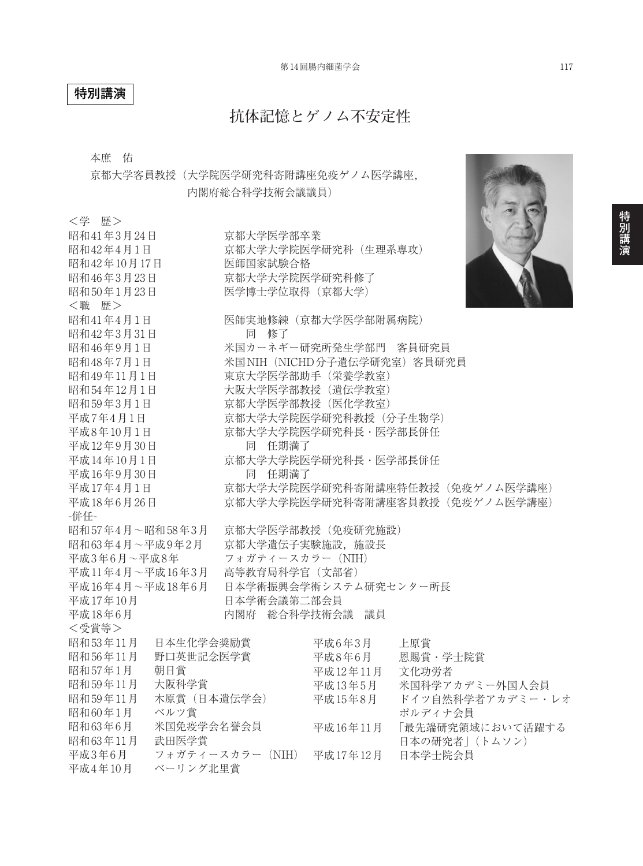## **特別講演**

# **抗体記憶とゲノム不安定性**

本庶 佑

京都大学客員教授(大学院医学研究科寄附講座免疫ゲノム医学講座, 内閣府総合科学技術会議議員)

| <学 歴>                    |           |                                 |                  |                |
|--------------------------|-----------|---------------------------------|------------------|----------------|
| 昭和41年3月24日               |           | 京都大学医学部卒業                       |                  |                |
| 昭和42年4月1日                |           | 京都大学大学院医学研究科 (生理系専攻)            |                  |                |
| 昭和42年10月17日              |           | 医師国家試験合格                        |                  |                |
| 昭和46年3月23日               |           | 京都大学大学院医学研究科修了                  |                  |                |
| 昭和50年1月23日               |           | 医学博士学位取得 (京都大学)                 |                  |                |
| <職 歴>                    |           |                                 |                  |                |
| 昭和41年4月1日                |           | 医師実地修練 (京都大学医学部附属病院)            |                  |                |
| 昭和42年3月31日               |           | 同 修了                            |                  |                |
| 昭和46年9月1日                |           | 米国カーネギー研究所発生学部門 客員研究員           |                  |                |
| 昭和48年7月1日                |           | 米国NIH (NICHD分子遺伝学研究室) 客員研究員     |                  |                |
| 昭和49年11月1日               |           | 東京大学医学部助手 (栄養学教室)               |                  |                |
| 昭和54年12月1日               |           | 大阪大学医学部教授 (遺伝学教室)               |                  |                |
| 昭和59年3月1日                |           | 京都大学医学部教授 (医化学教室)               |                  |                |
| 平成7年4月1日                 |           | 京都大学大学院医学研究科教授 (分子生物学)          |                  |                |
| 平成8年10月1日                |           | 京都大学大学院医学研究科長·医学部長併任            |                  |                |
| 平成12年9月30日               |           | 同 任期満了                          |                  |                |
| 平成14年10月1日               |           | 京都大学大学院医学研究科長·医学部長併任            |                  |                |
| 平成16年9月30日               |           | 同 任期満了                          |                  |                |
| 平成17年4月1日                |           | 京都大学大学院医学研究科寄附講座特任教授(免疫ゲノム医学講座) |                  |                |
| 平成18年6月26日               |           | 京都大学大学院医学研究科寄附講座客員教授(免疫ゲノム医学講座) |                  |                |
| -併任-                     |           |                                 |                  |                |
| 昭和57年4月~昭和58年3月          |           | 京都大学医学部教授 (免疫研究施設)              |                  |                |
| 昭和63年4月~平成9年2月           |           | 京都大学遺伝子実験施設, 施設長                |                  |                |
| 平成3年6月~平成8年              |           | フォガティースカラー (NIH)                |                  |                |
| 平成11年4月~平成16年3月          |           | 高等教育局科学官 (文部省)                  |                  |                |
| 平成16年4月~平成18年6月          |           | 日本学術振興会学術システム研究センター所長           |                  |                |
| 平成17年10月                 |           | 日本学術会議第二部会員                     |                  |                |
| 平成18年6月                  |           | 内閣府 総合科学技術会議 議員                 |                  |                |
| <受賞等>                    |           |                                 |                  |                |
| 昭和53年11月                 | 日本生化学会奨励賞 |                                 | 平成6年3月           | 上原賞            |
| 昭和56年11月                 | 野口英世記念医学賞 |                                 | 平成8年6月           | 恩賜賞・学士院賞       |
| 昭和57年1月                  | 朝日賞       |                                 | 平成12年11月         | 文化功労者          |
| 昭和59年11月                 | 大阪科学賞     |                                 | 平成13年5月          | 米国科学アカデミー外国人会員 |
| 木原賞 (日本遺伝学会)<br>昭和59年11月 |           | 平成15年8月                         | ドイツ自然科学者アカデミー・レオ |                |
| ベルツ賞<br>昭和60年1月          |           |                                 | ポルディナ会員          |                |
| 米国免疫学会名誉会員<br>昭和63年6月    |           | 平成16年11月                        | 「最先端研究領域において活躍する |                |
| 昭和63年11月                 | 武田医学賞     |                                 |                  | 日本の研究者」 (トムソン) |
| 平成3年6月                   |           | フォガティースカラー (NIH)                | 平成17年12月         | 日本学士院会員        |
| 平成4年10月                  | ベーリング北里賞  |                                 |                  |                |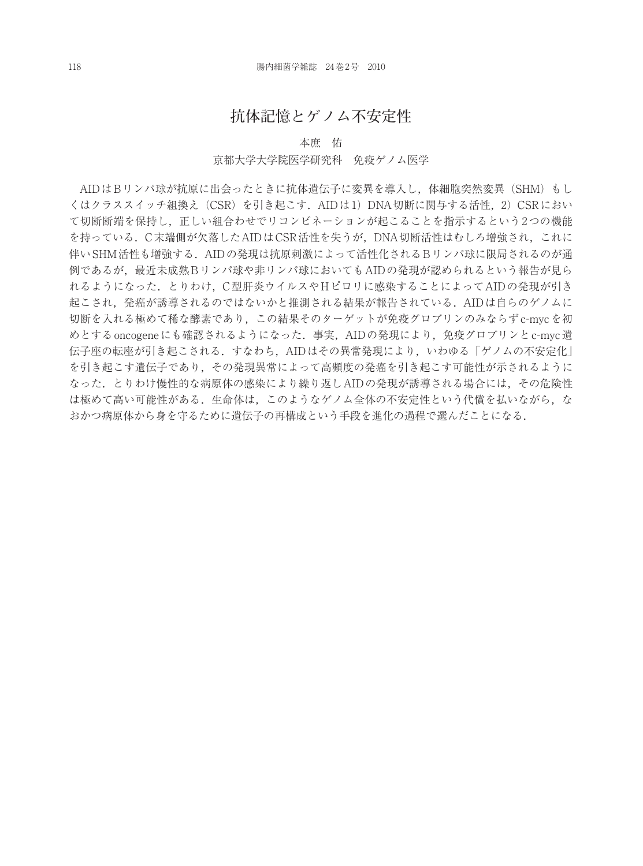## **抗体記憶とゲノム不安定性**

#### 本庶 佑

#### 京都大学大学院医学研究科 免疫ゲノム医学

AIDはBリンパ球が抗原に出会ったときに抗体遺伝子に変異を導入し,体細胞突然変異(SHM)もし くはクラススイッチ組換え(CSR)を引き起こす.AIDは1)DNA切断に関与する活性,2)CSRにおい て切断断端を保持し,正しい組合わせでリコンビネーションが起こることを指示するという2つの機能 を持っている.C末端側が欠落したAIDはCSR活性を失うが,DNA切断活性はむしろ増強され,これに 伴いSHM活性も増強する.AIDの発現は抗原刺激によって活性化されるBリンパ球に限局されるのが通 例であるが,最近未成熟Bリンパ球や非リンパ球においてもAIDの発現が認められるという報告が見ら れるようになった.とりわけ,C型肝炎ウイルスやHピロリに感染することによってAIDの発現が引き 起こされ,発癌が誘導されるのではないかと推測される結果が報告されている.AIDは自らのゲノムに 切断を入れる極めて稀な酵素であり,この結果そのターゲットが免疫グロブリンのみならずc-mycを初 めとするoncogeneにも確認されるようになった.事実, AIDの発現により, 免疫グロブリンとc-myc遺 伝子座の転座が引き起こされる.すなわち,AIDはその異常発現により,いわゆる「ゲノムの不安定化」 を引き起こす遺伝子であり,その発現異常によって高頻度の発癌を引き起こす可能性が示されるように なった.とりわけ慢性的な病原体の感染により繰り返しAIDの発現が誘導される場合には,その危険性 は極めて高い可能性がある. 生命体は、このようなゲノム全体の不安定性という代償を払いながら, な おかつ病原体から身を守るために遺伝子の再構成という手段を進化の過程で選んだことになる.